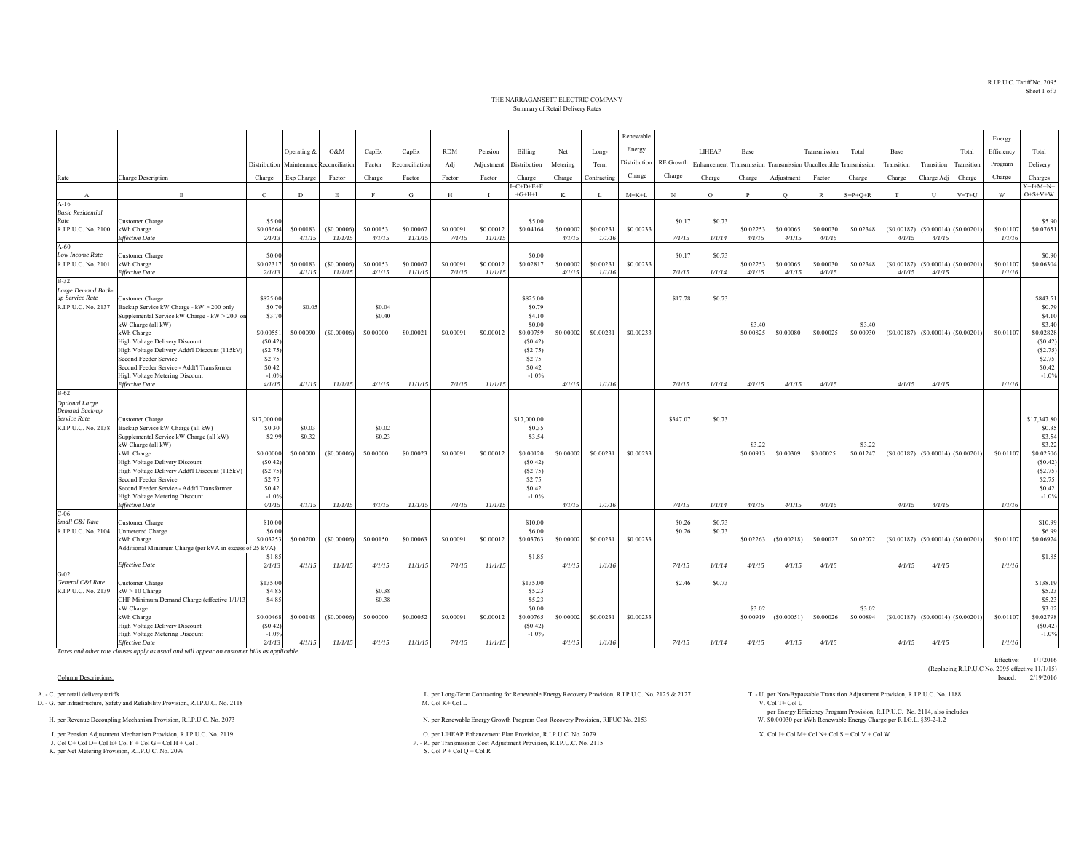R.I.P.U.C. Tariff No. 2095Sheet 1 of 3

## THE NARRAGANSETT ELECTRIC COMPANYSummary of Retail Delivery Rates

|                                  |                                                                              |                   |             |                                         |                  |               |            |                |                        |           |             | Renewable    |                  |               |                     |            |                                         |                    |            |              |                           | Energy     |                         |
|----------------------------------|------------------------------------------------------------------------------|-------------------|-------------|-----------------------------------------|------------------|---------------|------------|----------------|------------------------|-----------|-------------|--------------|------------------|---------------|---------------------|------------|-----------------------------------------|--------------------|------------|--------------|---------------------------|------------|-------------------------|
|                                  |                                                                              |                   | Operating & | O&M                                     | CapEx            | CapEx         | <b>RDM</b> | Pension        | Billing                | Net       | Long-       | Energy       |                  | <b>LIHEAP</b> | Base                |            | <b>Transmission</b>                     | Total              | Base       |              | Total                     | Efficiency | Total                   |
|                                  |                                                                              |                   |             |                                         |                  |               |            |                |                        |           |             | Distribution | <b>RE</b> Growth |               |                     |            |                                         |                    |            |              |                           |            |                         |
|                                  |                                                                              |                   |             | Distribution Maintenance Reconciliation | Factor           | econciliation | Adj        | Adjustment     | Distribution           | Metering  | Term        |              |                  | Enhancemen    |                     |            | Transmission Transmission Uncollectible | Transmission       | Transition | Transition   | Transition                | Program    | Delivery                |
| Rate                             | Charge Description                                                           | Charge            | Exp Charge  | Factor                                  | Charge           | Factor        | Factor     | Factor         | Charge                 | Charge    | Contracting | Charge       | Charge           | Charge        | Charge              | Adjustment | Factor                                  | Charge             | Charge     | Charge Adj   | Charge                    | Charge     | Charges                 |
| $\mathbf{A}$                     | $\mathbf{B}$                                                                 | $\mathcal{C}$     | D           | E                                       |                  | G             | H          | $\blacksquare$ | $J=C+D+E+$<br>$+G+H+I$ | K         | <b>Ι.</b>   | $M = K + L$  | N                | $\Omega$      | P                   | $\circ$    | $\mathbb{R}$                            | $S = P + Q + R$    | T          | $\mathbf{U}$ | $V = T + U$               | W          | $X=J+M+N+$<br>$O+S+V+W$ |
| $A-16$                           |                                                                              |                   |             |                                         |                  |               |            |                |                        |           |             |              |                  |               |                     |            |                                         |                    |            |              |                           |            |                         |
| <b>Basic Residential</b><br>Rate | Customer Charge                                                              | \$5.00            |             |                                         |                  |               |            |                | \$5.00                 |           |             |              | \$0.1            | \$0.73        |                     |            |                                         |                    |            |              |                           |            | \$5.90                  |
| R.I.P.U.C. No. 2100              | kWh Charge                                                                   | \$0.03664         | \$0.00183   | (S0.00006)                              | \$0.00153        | \$0,00067     | \$0,00091  | \$0.00012      | \$0.04164              | \$0,0000  | \$0,00231   | \$0.00233    |                  |               | \$0.02253           | \$0,00065  | \$0,00030                               | \$0.02348          | (S0.00187) |              | $(S0.00014)$ (\$0.00201)  | \$0.01107  | \$0.07651               |
|                                  | <b>Effective Date</b>                                                        | 2/1/13            | 4/1/15      | 11/1/15                                 | 4/1/15           | 11/1/15       | 7/1/15     | 11/1/15        |                        | 4/1/15    | 1/1/16      |              | 7/1/15           | 1/1/14        | 4/1/15              | 4/1/15     | 4/1/15                                  |                    | 4/1/15     | 4/1/15       |                           | 1/1/16     |                         |
| $A-60$                           |                                                                              |                   |             |                                         |                  |               |            |                |                        |           |             |              |                  |               |                     |            |                                         |                    |            |              |                           |            |                         |
| Low Income Rate                  | Customer Charge                                                              | \$0.00            |             |                                         |                  |               |            |                | \$0.00                 |           |             |              | \$0.17           | \$0.7         |                     |            |                                         |                    |            |              |                           |            | \$0.90                  |
| R.I.P.U.C. No. 2101              | kWh Charge                                                                   | \$0.02317         | \$0.00183   | (S0.00006)                              | \$0.00153        | \$0,00067     | \$0.00091  | \$0.00012      | \$0.02817              | \$0,0000  | \$0.00231   | \$0.00233    |                  |               | \$0.02253           | \$0,00065  | \$0.00030                               | \$0.02348          | (S0.00187) |              | $(S0.00014)$ (\$0.00201)  | \$0.01107  | \$0.06304               |
| $B-32$                           | <b>Effective Date</b>                                                        | 2/1/1             | 4/1/15      | 11/1/15                                 | 4/1/15           | 11/1/15       | 7/1/15     | 11/1/15        |                        | 4/1/15    | 1/1/16      |              | 7/1/15           | 1/1/14        | 4/1/15              | 4/1/15     | 4/1/15                                  |                    | 4/1/15     | 4/1/15       |                           | 1/1/16     |                         |
| Large Demand Back                |                                                                              |                   |             |                                         |                  |               |            |                |                        |           |             |              |                  |               |                     |            |                                         |                    |            |              |                           |            |                         |
| up Service Rate                  | Customer Charge                                                              | \$825.00          |             |                                         |                  |               |            |                | \$825.00               |           |             |              | \$17.78          | \$0.7         |                     |            |                                         |                    |            |              |                           |            | \$843.51                |
| R.I.P.U.C. No. 2137              | Backup Service kW Charge - kW > 200 only                                     | \$0.70            | \$0.05      |                                         | \$0.04           |               |            |                | \$0.79                 |           |             |              |                  |               |                     |            |                                         |                    |            |              |                           |            | \$0.79                  |
|                                  | Supplemental Service kW Charge - kW > 200 or                                 | \$3.70            |             |                                         | \$0.40           |               |            |                | \$4.10                 |           |             |              |                  |               |                     |            |                                         |                    |            |              |                           |            | \$4.10                  |
|                                  | kW Charge (all kW)<br>kWh Charge                                             | \$0,00551         | \$0.00090   | (S0.00006)                              | \$0,00000        | \$0.00021     | \$0,00091  | \$0,00012      | \$0.00<br>\$0.00759    | \$0,00002 | \$0.00231   | \$0.00233    |                  |               | \$3.40<br>\$0.00825 | \$0.00080  | \$0.00025                               | \$3.40<br>\$0,0093 | (S0.00187) |              | $(S0.00014)$ $(S0.00201)$ | \$0.01107  | \$3.40<br>\$0.02828     |
|                                  | <b>High Voltage Delivery Discount</b>                                        | (S0.42)           |             |                                         |                  |               |            |                | (S0.42)                |           |             |              |                  |               |                     |            |                                         |                    |            |              |                           |            | (S0.42)                 |
|                                  | High Voltage Delivery Addt'l Discount (115kV)                                | (S2.75)           |             |                                         |                  |               |            |                | (S2.75)                |           |             |              |                  |               |                     |            |                                         |                    |            |              |                           |            | (S2.75)                 |
|                                  | Second Feeder Service                                                        | \$2.75            |             |                                         |                  |               |            |                | \$2.75                 |           |             |              |                  |               |                     |            |                                         |                    |            |              |                           |            | \$2.75                  |
|                                  | Second Feeder Service - Addt'l Transformer                                   | \$0.42            |             |                                         |                  |               |            |                | \$0.42                 |           |             |              |                  |               |                     |            |                                         |                    |            |              |                           |            | \$0.42                  |
|                                  | High Voltage Metering Discount<br><b>Effective Date</b>                      | $-1.0%$           |             |                                         |                  |               |            |                | $-1.0%$                |           |             |              |                  |               |                     |            |                                         |                    |            |              |                           |            | $-1.0%$                 |
| $B-62$                           |                                                                              | 4/1/15            | 4/1/15      | 11/1/15                                 | 4/1/15           | 11/1/15       | 7/1/15     | 11/1/15        |                        | 4/1/15    | 1/1/16      |              | 7/1/15           | 1/1/14        | 4/1/15              | 4/1/15     | 4/1/15                                  |                    | 4/1/15     | 4/1/15       |                           | 1/1/16     |                         |
| <b>Optional Large</b>            |                                                                              |                   |             |                                         |                  |               |            |                |                        |           |             |              |                  |               |                     |            |                                         |                    |            |              |                           |            |                         |
| Demand Back-up                   |                                                                              |                   |             |                                         |                  |               |            |                |                        |           |             |              |                  |               |                     |            |                                         |                    |            |              |                           |            |                         |
| Service Rate                     | Customer Charge                                                              | \$17,000.00       |             |                                         |                  |               |            |                | \$17,000.00            |           |             |              | \$347.07         | \$0.7         |                     |            |                                         |                    |            |              |                           |            | \$17,347.80             |
| R.I.P.U.C. No. 2138              | Backup Service kW Charge (all kW)                                            | \$0.30            | \$0.03      |                                         | \$0.02           |               |            |                | \$0.3\$                |           |             |              |                  |               |                     |            |                                         |                    |            |              |                           |            | \$0.35                  |
|                                  | Supplemental Service kW Charge (all kW)<br>kW Charge (all kW)                | \$2.99            | \$0.32      |                                         | \$0.23           |               |            |                | \$3.54                 |           |             |              |                  |               | \$3.22              |            |                                         | \$3.2              |            |              |                           |            | \$3.54<br>\$3.22        |
|                                  | kWh Charge                                                                   | \$0,00000         | \$0.00000   | (S0.00006)                              | \$0,00000        | \$0.00023     | \$0,00091  | \$0.00012      | \$0.00120              | \$0,0000  | \$0.00231   | \$0.00233    |                  |               | \$0.00913           | \$0.00309  | \$0.00025                               | \$0.0124           | (S0.00187) |              | $(S0.00014)$ $(S0.00201)$ | \$0.01107  | \$0.02506               |
|                                  | <b>High Voltage Delivery Discount</b>                                        | (S0.42)           |             |                                         |                  |               |            |                | (S0.42)                |           |             |              |                  |               |                     |            |                                         |                    |            |              |                           |            | (S0.42)                 |
|                                  | High Voltage Delivery Addt'l Discount (115kV)                                | (S2.75)           |             |                                         |                  |               |            |                | (S2.75)                |           |             |              |                  |               |                     |            |                                         |                    |            |              |                           |            | (S2.75)                 |
|                                  | Second Feeder Service                                                        | \$2.75            |             |                                         |                  |               |            |                | \$2.75                 |           |             |              |                  |               |                     |            |                                         |                    |            |              |                           |            | \$2.75                  |
|                                  | Second Feeder Service - Addt'l Transformer<br>High Voltage Metering Discount | \$0.42<br>$-1.0%$ |             |                                         |                  |               |            |                | \$0.42<br>$-1.0%$      |           |             |              |                  |               |                     |            |                                         |                    |            |              |                           |            | \$0.42<br>$-1.0%$       |
|                                  | <b>Effective Date</b>                                                        | 4/1/15            | 4/1/15      | 11/1/15                                 | 4/1/15           | 11/1/15       | 7/1/15     | 11/1/15        |                        | 4/1/15    | 1/1/16      |              | 7/1/15           | 1/1/14        | 4/1/15              | 4/1/15     | 4/1/15                                  |                    | 4/1/15     | 4/1/15       |                           | 1/1/16     |                         |
| $C-06$                           |                                                                              |                   |             |                                         |                  |               |            |                |                        |           |             |              |                  |               |                     |            |                                         |                    |            |              |                           |            |                         |
| Small C&I Rate                   | Customer Charge                                                              | \$10.00           |             |                                         |                  |               |            |                | \$10.00                |           |             |              | \$0.26           | \$0.7         |                     |            |                                         |                    |            |              |                           |            | \$10.99                 |
| R.I.P.U.C. No. 2104              | Unmetered Charge                                                             | \$6.00            |             |                                         |                  |               |            |                | \$6.00                 |           |             |              | \$0.26           | \$0.7         |                     |            |                                         |                    |            |              |                           |            | \$6.99                  |
|                                  | kWh Charge<br>Additional Minimum Charge (per kVA in excess of 25 kVA)        | \$0.0325          | \$0.00200   | (S0.00006)                              | \$0.00150        | \$0,00063     | \$0,0009   | \$0,00012      | \$0.03763              | \$0,00002 | \$0.00231   | \$0.00233    |                  |               | \$0.02263           | (S0.00218) | \$0.00027                               | \$0.02072          | (S0.00187) |              | $(S0.00014)$ $(S0.00201)$ | \$0.01107  | \$0.06974               |
|                                  |                                                                              | \$1.8             |             |                                         |                  |               |            |                | \$1.85                 |           |             |              |                  |               |                     |            |                                         |                    |            |              |                           |            | \$1.85                  |
|                                  | <b>Effective Date</b>                                                        | 2/1/13            | 4/1/15      | 11/1/15                                 | 4/1/15           | 11/1/15       | 7/1/15     | 11/1/15        |                        | 4/1/15    | 1/1/16      |              | 7/1/15           | 1/1/14        | 4/1/15              | 4/1/15     | 4/1/15                                  |                    | 4/1/15     | 4/1/15       |                           | 1/1/16     |                         |
| $G-02$                           |                                                                              |                   |             |                                         |                  |               |            |                |                        |           |             |              |                  |               |                     |            |                                         |                    |            |              |                           |            |                         |
| General C&I Rate                 | Customer Charge                                                              | \$135.00          |             |                                         |                  |               |            |                | \$135.00               |           |             |              | \$2.46           | \$0.7         |                     |            |                                         |                    |            |              |                           |            | \$138.19                |
| R.I.P.U.C. No. 2139              | $kW > 10$ Charge<br>CHP Minimum Demand Charge (effective 1/1/1               | \$4.8<br>\$4.85   |             |                                         | \$0.38<br>\$0.38 |               |            |                | \$5.23<br>\$5.23       |           |             |              |                  |               |                     |            |                                         |                    |            |              |                           |            | \$5.23<br>\$5.23        |
|                                  | kW Charge                                                                    |                   |             |                                         |                  |               |            |                | \$0.00                 |           |             |              |                  |               | \$3.02              |            |                                         | \$3.02             |            |              |                           |            | \$3.02                  |
|                                  | kWh Charge                                                                   | \$0.00468         | \$0.00148   | (S0.00006)                              | \$0.00000        | \$0.00052     | \$0.00091  | \$0.00012      | \$0.00765              | \$0.00002 | \$0.00231   | \$0.00233    |                  |               | \$0.00919           | (S0.00051) | \$0.00026                               | \$0.00894          | (S0.00187) |              | $(S0.00014)$ $(S0.00201)$ | \$0.01107  | \$0.02798               |
|                                  | <b>High Voltage Delivery Discount</b>                                        | (S0.42)           |             |                                         |                  |               |            |                | (S0.42)                |           |             |              |                  |               |                     |            |                                         |                    |            |              |                           |            | (S0.42)                 |
|                                  | High Voltage Metering Discount                                               | $-1.0%$           |             |                                         |                  |               |            |                | $-1.0%$                |           |             |              |                  |               |                     |            |                                         |                    |            |              |                           |            | $-1.0%$                 |
|                                  | <b>Effective Date</b>                                                        | 2/1/13            | 4/1/15      | 11/1/15                                 | 4/1/15           | 11/1/15       | 7/1/15     | 11/1/15        |                        | 4/1/15    | 1/1/16      |              | 7/1/15           | 1/1/14        | 4/1/15              | 4/1/15     | 4/1/15                                  |                    | 4/1/15     | 4/1/15       |                           | 1/1/16     |                         |

*Taxes and other rate clauses apply as usual and will appear on customer bills as applicable.*

D. - G. per Infrastructure, Safety and Reliability Provision, R.I.P.U.C. No. 2118

K. per Net Metering Provision, R.I.P.U.C. No. 2099

A. - C. per retail delivery tariffs Adjustment Provision, R.I.P.U.C. No. 2118 L. per Long-Term Contracting for Renewable Energy Recovery Provision, R.I.P.U.C. No. 2125 & 2127 T. - U. per Non-Bypassable Transition Adjustmen

H. per Renewable Energy Growth Program Cost Recovery Provision, RIPUC No. 2153 N. per Renewable Energy Growth Program Cost Recovery Provision, RIPUC No. 2153

1. per Pension Adjustment Mechanism Provident Provident Provident Provident Provident Provident Provident Provident Provident Provident Provident Provident Provident Provident Provident Provident Provident Provident Provi P. - R. per Transmission Cost Adjustment Provision, R.I.P.U.C. No. 2115<br>S. Col P + Col Q + Col R

per Energy Efficiency Program Provision, R.I.P.U.C. No. 2114, also includes \$0.00030 per kWh Renewable Energy Charge per R.I.G.L. §39-2-1.2

Effective: 1/1/2016 (Replacing R.I.P.U.C No. 2095 effective 11/1/15)<br>Issued: 2/19/2016 Column Descriptions: Issued: 2/19/2016